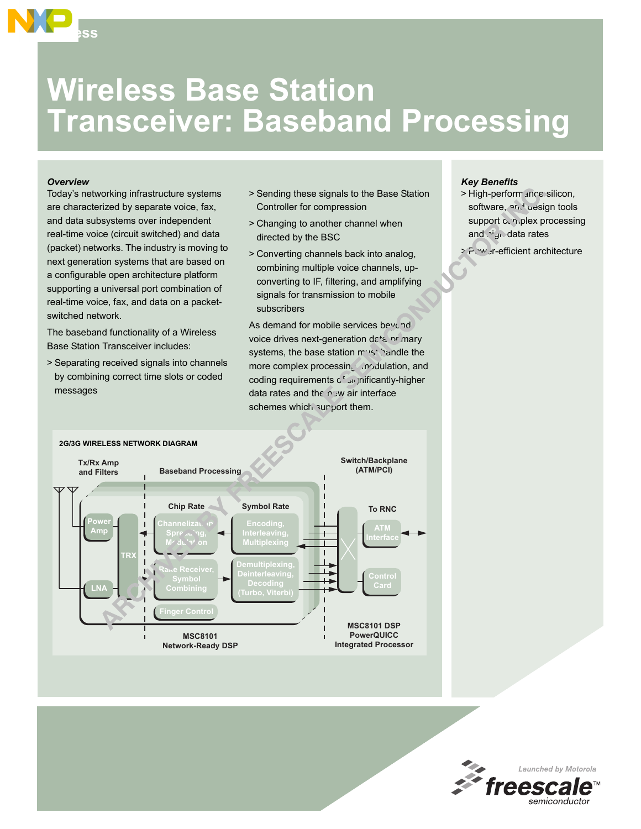# **Wireless Base Station Transceiver: Baseband Processing**

#### *Overview*

**Access**

Today's networking infrastructure systems are characterized by separate voice, fax, and data subsystems over independent real-time voice (circuit switched) and data (packet) networks. The industry is moving to next generation systems that are based on a configurable open architecture platform supporting a universal port combination of real-time voice, fax, and data on a packetswitched network.

The baseband functionality of a Wireless Base Station Transceiver includes:

> Separating received signals into channels by combining correct time slots or coded messages

- > Sending these signals to the Base Station Controller for compression
- > Changing to another channel when directed by the BSC
- > Converting channels back into analog, combining multiple voice channels, upconverting to IF, filtering, and amplifying signals for transmission to mobile subscribers

As demand for mobile services beyond voice drives next-generation data-or mary systems, the base station must handle the more complex processing inputation, and coding requirements of significantly-higher data rates and the  $n_{\text{c}}$  w air interface schemes which surport them.

#### *Key Benefits*

- > High-perform ance silicon, software, and design tools support complex processing and  $\mathbf{h}^i$ gn data rates
- > Power-efficient architecture



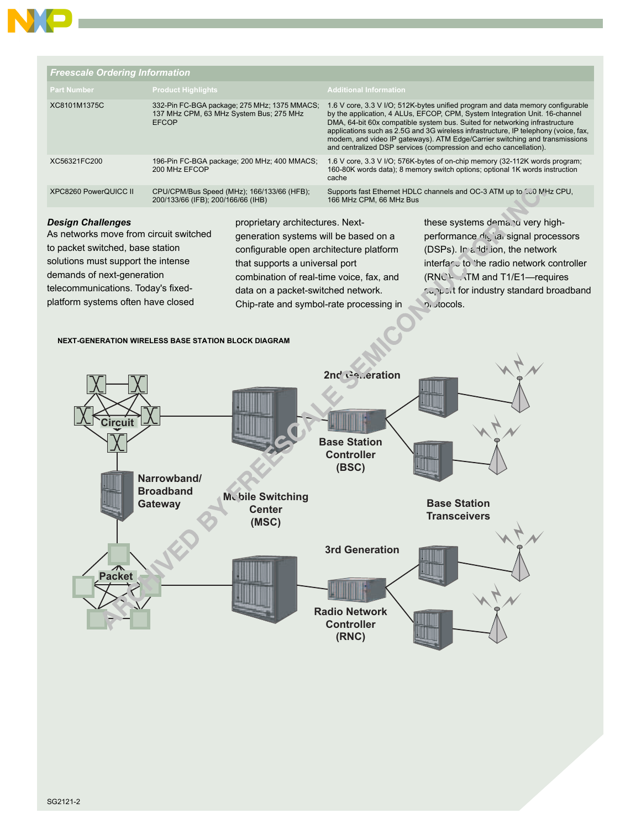

| <b>Freescale Ordering Information</b> |                                                                                                         |                                                                                                                                                                                                                                                                                                                                                                                                                                                                                         |  |  |
|---------------------------------------|---------------------------------------------------------------------------------------------------------|-----------------------------------------------------------------------------------------------------------------------------------------------------------------------------------------------------------------------------------------------------------------------------------------------------------------------------------------------------------------------------------------------------------------------------------------------------------------------------------------|--|--|
| <b>Part Number</b>                    | <b>Product Highlights</b>                                                                               | <b>Additional Information</b>                                                                                                                                                                                                                                                                                                                                                                                                                                                           |  |  |
| XC8101M1375C                          | 332-Pin FC-BGA package; 275 MHz; 1375 MMACS;<br>137 MHz CPM, 63 MHz System Bus; 275 MHz<br><b>EFCOP</b> | 1.6 V core, 3.3 V I/O; 512K-bytes unified program and data memory configurable<br>by the application, 4 ALUs, EFCOP, CPM, System Integration Unit. 16-channel<br>DMA, 64-bit 60x compatible system bus. Suited for networking infrastructure<br>applications such as 2.5G and 3G wireless infrastructure, IP telephony (voice, fax,<br>modem, and video IP gateways). ATM Edge/Carrier switching and transmissions<br>and centralized DSP services (compression and echo cancellation). |  |  |
| XC56321FC200                          | 196-Pin FC-BGA package; 200 MHz; 400 MMACS;<br>200 MHz EFCOP                                            | 1.6 V core, 3.3 V I/O; 576K-bytes of on-chip memory (32-112K words program;<br>160-80K words data); 8 memory switch options; optional 1K words instruction<br>cache                                                                                                                                                                                                                                                                                                                     |  |  |
| XPC8260 PowerQUICC II                 | CPU/CPM/Bus Speed (MHz); 166/133/66 (HFB);<br>200/133/66 (IFB); 200/166/66 (IHB)                        | Supports fast Ethernet HDLC channels and OC-3 ATM up to 100 MHz CPU,<br>166 MHz CPM, 66 MHz Bus                                                                                                                                                                                                                                                                                                                                                                                         |  |  |
|                                       |                                                                                                         |                                                                                                                                                                                                                                                                                                                                                                                                                                                                                         |  |  |

## *Design Challenges*

As networks move from circuit switched to packet switched, base station solutions must support the intense demands of next-generation telecommunications. Today's fixedplatform systems often have closed

proprietary architectures. Nextgeneration systems will be based on a configurable open architecture platform that supports a universal port combination of real-time voice, fax, and data on a packet-switched network. Chip-rate and symbol-rate processing in

these systems demand very highperformance digital signal processors (DSPs). In a ddition, the network interface to the radio network controller  $(RNC)$ -  $\lambda TM$  and T1/E1—requires support for industry standard broadband protocols.

### **NEXT-GENERATION WIRELESS BASE STATION BLOCK DIAGRAM**

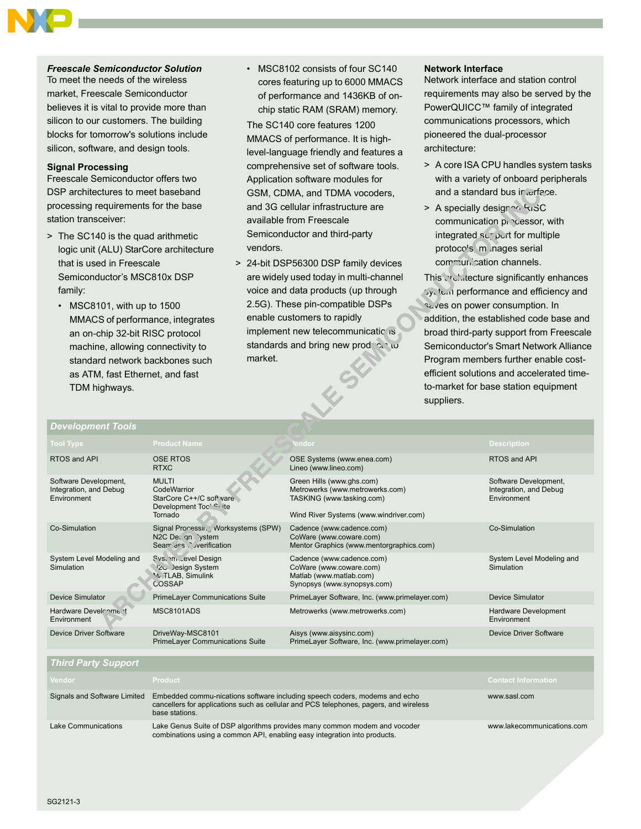*Freescale Semiconductor Solution* To meet the needs of the wireless market, Freescale Semiconductor believes it is vital to provide more than silicon to our customers. The building blocks for tomorrow's solutions include silicon, software, and design tools.

## **Signal Processing**

Freescale Semiconductor offers two DSP architectures to meet baseband processing requirements for the base station transceiver:

- > The SC140 is the quad arithmetic logic unit (ALU) StarCore architecture that is used in Freescale Semiconductor's MSC810x DSP family:
	- $\cdot$  MSC8101, with up to 1500 MMACS of performance, integrates an on-chip 32-bit RISC protocol machine, allowing connectivity to standard network backbones such as ATM, fast Ethernet, and fast TDM highways.

• MSC8102 consists of four SC140 cores featuring up to 6000 MMACS of performance and 1436KB of onchip static RAM (SRAM) memory.

The SC140 core features 1200 MMACS of performance. It is highlevel-language friendly and features a comprehensive set of software tools. Application software modules for GSM, CDMA, and TDMA vocoders, and 3G cellular infrastructure are available from Freescale Semiconductor and third-party vendors.

> 24-bit DSP56300 DSP family devices are widely used today in multi-channel voice and data products (up through 2.5G). These pin-compatible DSPs enable customers to rapidly implement new telecommunications standards and bring new prodect to market. LEST

#### **Network Interface**

Network interface and station control requirements may also be served by the PowerQUICC™ family of integrated communications processors, which pioneered the dual-processor architecture:

- > A core ISA CPU handles system tasks with a variety of onboard peripherals and a standard bus ir erface.
- > A specially designed RISC communication processor, with integrated  $\sup_{\nu} \rho_{\nu}$ rt for multiple protoco's, manages serial communication channels.

This architecture significantly enhances **System performance and efficiency and** saves on power consumption. In addition, the established code base and broad third-party support from Freescale Semiconductor's Smart Network Alliance Program members further enable costefficient solutions and accelerated timeto-market for base station equipment suppliers.

| Development Tools                                              |                                                                                                                                                                                       |                                                                                                                                     |                                                                |
|----------------------------------------------------------------|---------------------------------------------------------------------------------------------------------------------------------------------------------------------------------------|-------------------------------------------------------------------------------------------------------------------------------------|----------------------------------------------------------------|
| <b>Tool Type</b>                                               | <b>Product Name</b>                                                                                                                                                                   | 'endor                                                                                                                              | <b>Description</b>                                             |
| RTOS and API                                                   | <b>OSE RTOS</b><br><b>RTXC</b>                                                                                                                                                        | OSE Systems (www.enea.com)<br>Lineo (www.lineo.com)                                                                                 | RTOS and API                                                   |
| Software Development,<br>Integration, and Debug<br>Environment | <b>MULTI</b><br>CodeWarrior<br>StarCore C++/C soft vare<br>Development Toc! Si ite<br>Tornado                                                                                         | Green Hills (www.ghs.com)<br>Metrowerks (www.metrowerks.com)<br>TASKING (www.tasking.com)<br>Wind River Systems (www.windriver.com) | Software Development,<br>Integration, and Debug<br>Environment |
| Co-Simulation                                                  | Signal Processin, Worksystems (SPW)<br>N2C Dec gn Vstem<br>Sear less V verification                                                                                                   | Cadence (www.cadence.com)<br>CoWare (www.coware.com)<br>Mentor Graphics (www.mentorgraphics.com)                                    | Co-Simulation                                                  |
| System Level Modeling and<br>Simulation                        | Svs. im Level Design<br>12c Design System<br><b>VL TLAB, Simulink</b><br>COSSAP                                                                                                       | Cadence (www.cadence.com)<br>CoWare (www.coware.com)<br>Matlab (www.matlab.com)<br>Synopsys (www.synopsys.com)                      | System Level Modeling and<br>Simulation                        |
| <b>Device Simulator</b>                                        | <b>PrimeLayer Communications Suite</b>                                                                                                                                                | PrimeLayer Software, Inc. (www.primelayer.com)                                                                                      | <b>Device Simulator</b>                                        |
| Hardware Develroment<br>Environment                            | MSC8101ADS                                                                                                                                                                            | Metrowerks (www.metrowerks.com)                                                                                                     | Hardware Development<br>Environment                            |
| <b>Device Driver Software</b>                                  | DriveWay-MSC8101<br><b>PrimeLayer Communications Suite</b>                                                                                                                            | Aisys (www.aisysinc.com)<br>PrimeLayer Software, Inc. (www.primelayer.com)                                                          | <b>Device Driver Software</b>                                  |
| <b>Third Party Support</b>                                     |                                                                                                                                                                                       |                                                                                                                                     |                                                                |
| Vendor                                                         | <b>Product</b>                                                                                                                                                                        |                                                                                                                                     | <b>Contact Information</b>                                     |
| Signals and Software Limited                                   | Embedded commu-nications software including speech coders, modems and echo<br>cancellers for applications such as cellular and PCS telephones, pagers, and wireless<br>base stations. | www.sasl.com                                                                                                                        |                                                                |
| Lake Communications                                            | Lake Genus Suite of DSP algorithms provides many common modem and vocoder<br>combinations using a common API, enabling easy integration into products.                                | www.lakecommunications.com                                                                                                          |                                                                |

#### SG2121-3